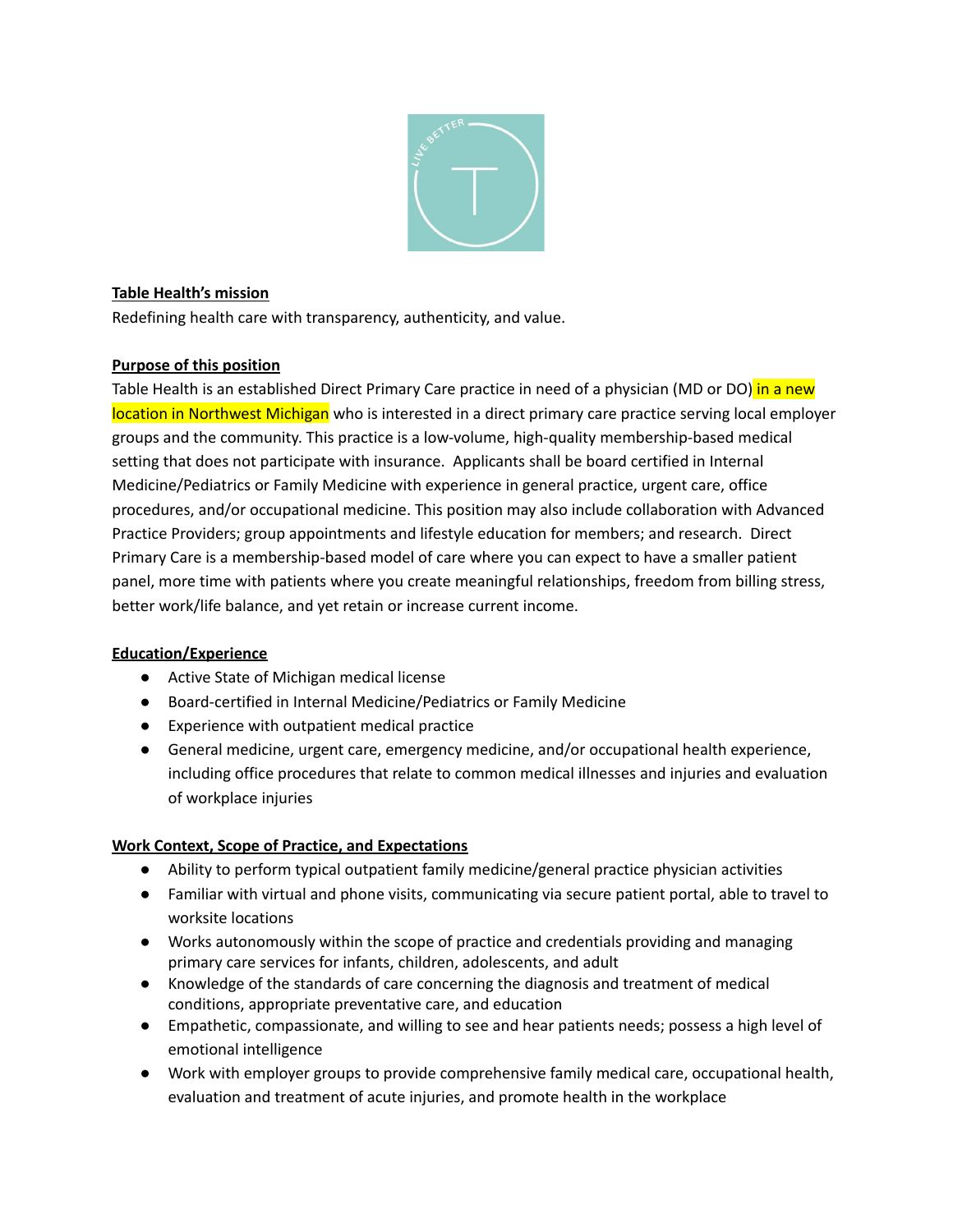

## **Table Health's mission**

Redefining health care with transparency, authenticity, and value.

## **Purpose of this position**

Table Health is an established Direct Primary Care practice in need of a physician (MD or DO) in a new location in Northwest Michigan who is interested in a direct primary care practice serving local employer groups and the community. This practice is a low-volume, high-quality membership-based medical setting that does not participate with insurance. Applicants shall be board certified in Internal Medicine/Pediatrics or Family Medicine with experience in general practice, urgent care, office procedures, and/or occupational medicine. This position may also include collaboration with Advanced Practice Providers; group appointments and lifestyle education for members; and research. Direct Primary Care is a membership-based model of care where you can expect to have a smaller patient panel, more time with patients where you create meaningful relationships, freedom from billing stress, better work/life balance, and yet retain or increase current income.

#### **Education/Experience**

- Active State of Michigan medical license
- Board-certified in Internal Medicine/Pediatrics or Family Medicine
- Experience with outpatient medical practice
- General medicine, urgent care, emergency medicine, and/or occupational health experience, including office procedures that relate to common medical illnesses and injuries and evaluation of workplace injuries

# **Work Context, Scope of Practice, and Expectations**

- Ability to perform typical outpatient family medicine/general practice physician activities
- Familiar with virtual and phone visits, communicating via secure patient portal, able to travel to worksite locations
- Works autonomously within the scope of practice and credentials providing and managing primary care services for infants, children, adolescents, and adult
- Knowledge of the standards of care concerning the diagnosis and treatment of medical conditions, appropriate preventative care, and education
- Empathetic, compassionate, and willing to see and hear patients needs; possess a high level of emotional intelligence
- Work with employer groups to provide comprehensive family medical care, occupational health, evaluation and treatment of acute injuries, and promote health in the workplace